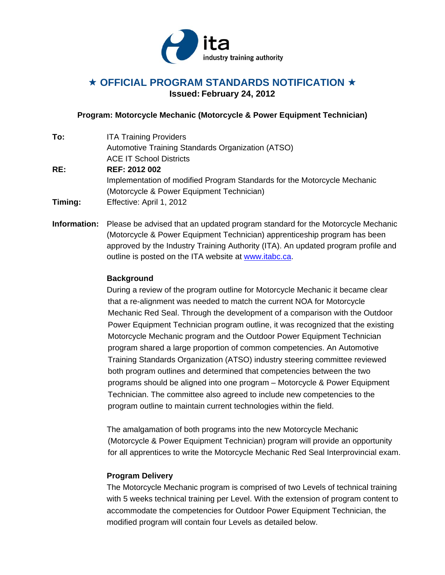

# **★ OFFICIAL PROGRAM STANDARDS NOTIFICATION ★ Issued: February 24, 2012**

## **Program: Motorcycle Mechanic (Motorcycle & Power Equipment Technician)**

| To:     | <b>ITA Training Providers</b>                                            |
|---------|--------------------------------------------------------------------------|
|         | Automotive Training Standards Organization (ATSO)                        |
|         | <b>ACE IT School Districts</b>                                           |
| RE:     | REF: 2012 002                                                            |
|         | Implementation of modified Program Standards for the Motorcycle Mechanic |
|         | (Motorcycle & Power Equipment Technician)                                |
| Timing: | Effective: April 1, 2012                                                 |

**Information:** Please be advised that an updated program standard for the Motorcycle Mechanic (Motorcycle & Power Equipment Technician) apprenticeship program has been approved by the Industry Training Authority (ITA). An updated program profile and outline is posted on the ITA website at www.itabc.ca.

### **Background**

During a review of the program outline for Motorcycle Mechanic it became clear that a re-alignment was needed to match the current NOA for Motorcycle Mechanic Red Seal. Through the development of a comparison with the Outdoor Power Equipment Technician program outline, it was recognized that the existing Motorcycle Mechanic program and the Outdoor Power Equipment Technician program shared a large proportion of common competencies. An Automotive Training Standards Organization (ATSO) industry steering committee reviewed both program outlines and determined that competencies between the two programs should be aligned into one program – Motorcycle & Power Equipment Technician. The committee also agreed to include new competencies to the program outline to maintain current technologies within the field.

The amalgamation of both programs into the new Motorcycle Mechanic (Motorcycle & Power Equipment Technician) program will provide an opportunity for all apprentices to write the Motorcycle Mechanic Red Seal Interprovincial exam.

## **Program Delivery**

The Motorcycle Mechanic program is comprised of two Levels of technical training with 5 weeks technical training per Level. With the extension of program content to accommodate the competencies for Outdoor Power Equipment Technician, the modified program will contain four Levels as detailed below.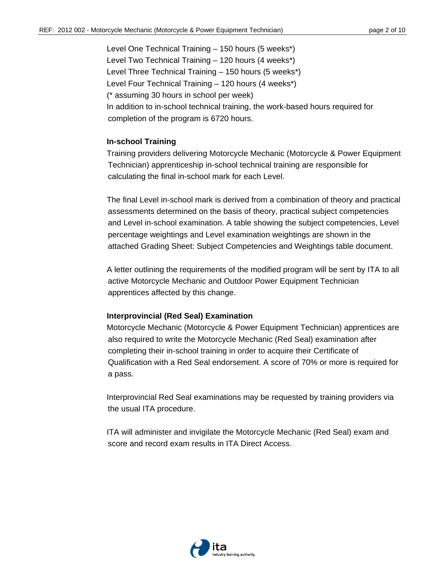Level One Technical Training – 150 hours (5 weeks\*) Level Two Technical Training – 120 hours (4 weeks\*) Level Three Technical Training – 150 hours (5 weeks\*) Level Four Technical Training – 120 hours (4 weeks\*) (\* assuming 30 hours in school per week) In addition to in-school technical training, the work-based hours required for completion of the program is 6720 hours.

#### **In-school Training**

Training providers delivering Motorcycle Mechanic (Motorcycle & Power Equipment Technician) apprenticeship in-school technical training are responsible for calculating the final in-school mark for each Level.

The final Level in-school mark is derived from a combination of theory and practical assessments determined on the basis of theory, practical subject competencies and Level in-school examination. A table showing the subject competencies, Level percentage weightings and Level examination weightings are shown in the attached Grading Sheet: Subject Competencies and Weightings table document.

A letter outlining the requirements of the modified program will be sent by ITA to all active Motorcycle Mechanic and Outdoor Power Equipment Technician apprentices affected by this change.

#### **Interprovincial (Red Seal) Examination**

Motorcycle Mechanic (Motorcycle & Power Equipment Technician) apprentices are also required to write the Motorcycle Mechanic (Red Seal) examination after completing their in-school training in order to acquire their Certificate of Qualification with a Red Seal endorsement. A score of 70% or more is required for a pass.

Interprovincial Red Seal examinations may be requested by training providers via the usual ITA procedure.

ITA will administer and invigilate the Motorcycle Mechanic (Red Seal) exam and score and record exam results in ITA Direct Access.

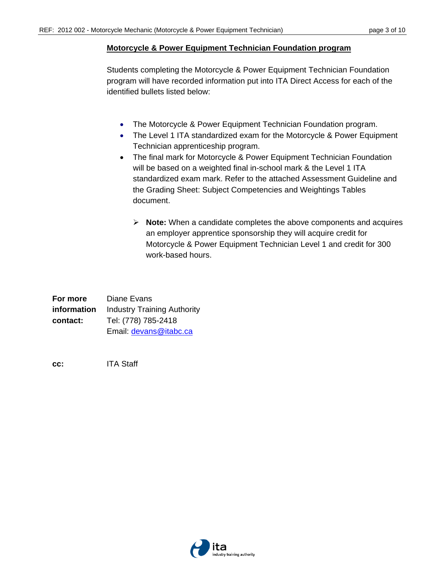#### **Motorcycle & Power Equipment Technician Foundation program**

Students completing the Motorcycle & Power Equipment Technician Foundation program will have recorded information put into ITA Direct Access for each of the identified bullets listed below:

- The Motorcycle & Power Equipment Technician Foundation program.
- The Level 1 ITA standardized exam for the Motorcycle & Power Equipment Technician apprenticeship program.
- The final mark for Motorcycle & Power Equipment Technician Foundation will be based on a weighted final in-school mark & the Level 1 ITA standardized exam mark. Refer to the attached Assessment Guideline and the Grading Sheet: Subject Competencies and Weightings Tables document.
	- **Note:** When a candidate completes the above components and acquires an employer apprentice sponsorship they will acquire credit for Motorcycle & Power Equipment Technician Level 1 and credit for 300 work-based hours.

| For more    | Diane Evans                        |  |
|-------------|------------------------------------|--|
| information | <b>Industry Training Authority</b> |  |
| contact:    | Tel: (778) 785-2418                |  |
|             | Email: devans@itabc.ca             |  |

**cc:** ITA Staff

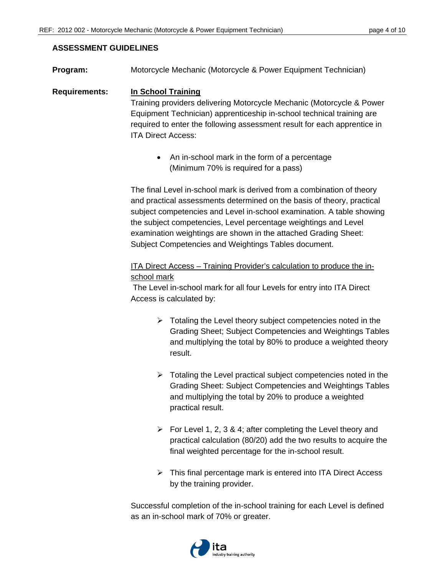#### **ASSESSMENT GUIDELINES**

**Program:** Motorcycle Mechanic (Motorcycle & Power Equipment Technician)

## **Requirements: In School Training** Training providers delivering Motorcycle Mechanic (Motorcycle & Power Equipment Technician) apprenticeship in-school technical training are required to enter the following assessment result for each apprentice in ITA Direct Access:

• An in-school mark in the form of a percentage (Minimum 70% is required for a pass)

The final Level in-school mark is derived from a combination of theory and practical assessments determined on the basis of theory, practical subject competencies and Level in-school examination. A table showing the subject competencies, Level percentage weightings and Level examination weightings are shown in the attached Grading Sheet: Subject Competencies and Weightings Tables document.

## ITA Direct Access – Training Provider's calculation to produce the inschool mark

 The Level in-school mark for all four Levels for entry into ITA Direct Access is calculated by:

- $\triangleright$  Totaling the Level theory subject competencies noted in the Grading Sheet; Subject Competencies and Weightings Tables and multiplying the total by 80% to produce a weighted theory result.
- $\triangleright$  Totaling the Level practical subject competencies noted in the Grading Sheet: Subject Competencies and Weightings Tables and multiplying the total by 20% to produce a weighted practical result.
- $\triangleright$  For Level 1, 2, 3 & 4; after completing the Level theory and practical calculation (80/20) add the two results to acquire the final weighted percentage for the in-school result.
- $\triangleright$  This final percentage mark is entered into ITA Direct Access by the training provider.

Successful completion of the in-school training for each Level is defined as an in-school mark of 70% or greater.

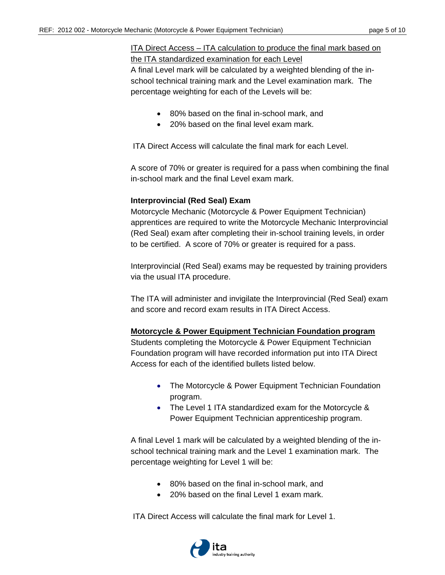## ITA Direct Access – ITA calculation to produce the final mark based on the ITA standardized examination for each Level

A final Level mark will be calculated by a weighted blending of the inschool technical training mark and the Level examination mark. The percentage weighting for each of the Levels will be:

- 80% based on the final in-school mark, and
- 20% based on the final level exam mark.

ITA Direct Access will calculate the final mark for each Level.

A score of 70% or greater is required for a pass when combining the final in-school mark and the final Level exam mark.

## **Interprovincial (Red Seal) Exam**

Motorcycle Mechanic (Motorcycle & Power Equipment Technician) apprentices are required to write the Motorcycle Mechanic Interprovincial (Red Seal) exam after completing their in-school training levels, in order to be certified. A score of 70% or greater is required for a pass.

Interprovincial (Red Seal) exams may be requested by training providers via the usual ITA procedure.

The ITA will administer and invigilate the Interprovincial (Red Seal) exam and score and record exam results in ITA Direct Access.

## **Motorcycle & Power Equipment Technician Foundation program**

Students completing the Motorcycle & Power Equipment Technician Foundation program will have recorded information put into ITA Direct Access for each of the identified bullets listed below.

- The Motorcycle & Power Equipment Technician Foundation program.
- The Level 1 ITA standardized exam for the Motorcycle & Power Equipment Technician apprenticeship program.

A final Level 1 mark will be calculated by a weighted blending of the inschool technical training mark and the Level 1 examination mark. The percentage weighting for Level 1 will be:

- 80% based on the final in-school mark, and
- 20% based on the final Level 1 exam mark.

ITA Direct Access will calculate the final mark for Level 1.

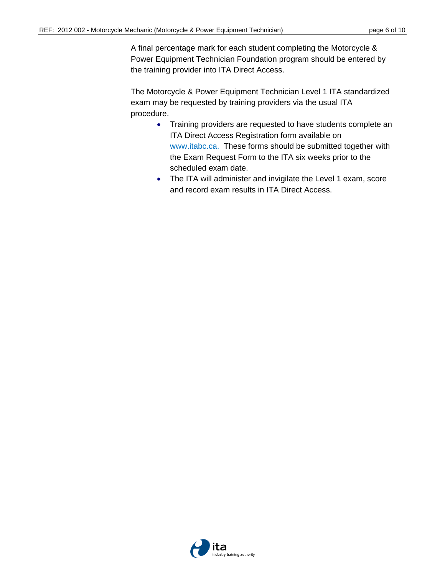A final percentage mark for each student completing the Motorcycle & Power Equipment Technician Foundation program should be entered by the training provider into ITA Direct Access.

The Motorcycle & Power Equipment Technician Level 1 ITA standardized exam may be requested by training providers via the usual ITA procedure.

- Training providers are requested to have students complete an ITA Direct Access Registration form available on www.itabc.ca. These forms should be submitted together with the Exam Request Form to the ITA six weeks prior to the scheduled exam date.
- The ITA will administer and invigilate the Level 1 exam, score and record exam results in ITA Direct Access.

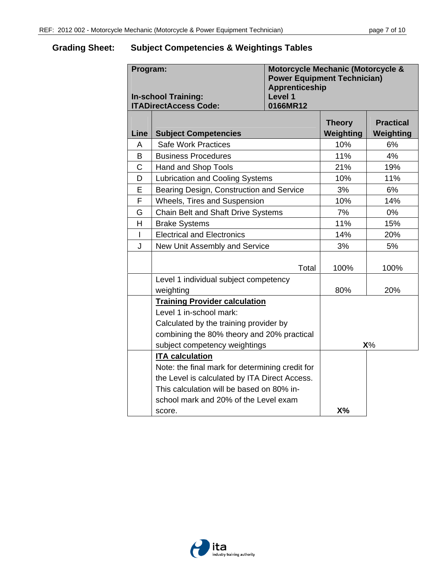# **Grading Sheet: Subject Competencies & Weightings Tables**

| Program:<br><b>In-school Training:</b><br><b>ITADirectAccess Code:</b> |                                                 | Motorcycle Mechanic (Motorcycle &<br><b>Power Equipment Technician)</b><br><b>Apprenticeship</b><br>Level 1<br>0166MR12 |                            |                               |
|------------------------------------------------------------------------|-------------------------------------------------|-------------------------------------------------------------------------------------------------------------------------|----------------------------|-------------------------------|
| Line                                                                   | <b>Subject Competencies</b>                     |                                                                                                                         | <b>Theory</b><br>Weighting | <b>Practical</b><br>Weighting |
| A                                                                      | <b>Safe Work Practices</b>                      |                                                                                                                         | 10%                        | 6%                            |
| B                                                                      | <b>Business Procedures</b>                      |                                                                                                                         | 11%                        | 4%                            |
| $\mathsf C$                                                            | Hand and Shop Tools                             |                                                                                                                         | 21%                        | 19%                           |
| D                                                                      | <b>Lubrication and Cooling Systems</b>          |                                                                                                                         | 10%                        | 11%                           |
| $\mathsf E$                                                            | Bearing Design, Construction and Service        |                                                                                                                         | 3%                         | 6%                            |
| F                                                                      | Wheels, Tires and Suspension                    |                                                                                                                         | 10%                        | 14%                           |
| G                                                                      | Chain Belt and Shaft Drive Systems              |                                                                                                                         | 7%                         | 0%                            |
| H                                                                      | <b>Brake Systems</b>                            |                                                                                                                         | 11%                        | 15%                           |
| T                                                                      | <b>Electrical and Electronics</b>               |                                                                                                                         | 14%                        | 20%                           |
| J                                                                      | New Unit Assembly and Service                   |                                                                                                                         | 3%                         | 5%                            |
|                                                                        |                                                 | Total                                                                                                                   | 100%                       | 100%                          |
|                                                                        | Level 1 individual subject competency           |                                                                                                                         |                            |                               |
|                                                                        | weighting                                       | 80%                                                                                                                     | 20%                        |                               |
|                                                                        | <b>Training Provider calculation</b>            |                                                                                                                         |                            |                               |
|                                                                        | Level 1 in-school mark:                         |                                                                                                                         |                            |                               |
|                                                                        | Calculated by the training provider by          |                                                                                                                         |                            |                               |
|                                                                        | combining the 80% theory and 20% practical      |                                                                                                                         |                            |                               |
|                                                                        | subject competency weightings                   |                                                                                                                         | $X\%$                      |                               |
|                                                                        | <b>ITA</b> calculation                          |                                                                                                                         |                            |                               |
|                                                                        | Note: the final mark for determining credit for |                                                                                                                         |                            |                               |
|                                                                        | the Level is calculated by ITA Direct Access.   |                                                                                                                         |                            |                               |
|                                                                        | This calculation will be based on 80% in-       |                                                                                                                         |                            |                               |
|                                                                        | school mark and 20% of the Level exam           |                                                                                                                         |                            |                               |
|                                                                        | score.                                          | $X\%$                                                                                                                   |                            |                               |

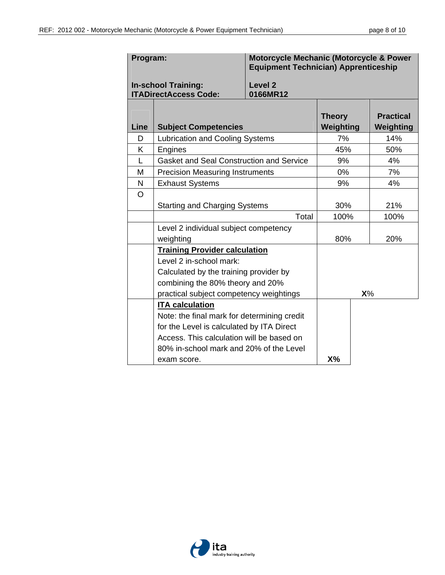| Program:                                                   |                                                                                                                                                        | <b>Motorcycle Mechanic (Motorcycle &amp; Power</b><br><b>Equipment Technician) Apprenticeship</b> |                            |     |                               |
|------------------------------------------------------------|--------------------------------------------------------------------------------------------------------------------------------------------------------|---------------------------------------------------------------------------------------------------|----------------------------|-----|-------------------------------|
| <b>In-school Training:</b><br><b>ITADirectAccess Code:</b> |                                                                                                                                                        | Level <sub>2</sub><br>0166MR12                                                                    |                            |     |                               |
| <b>Line</b>                                                | <b>Subject Competencies</b>                                                                                                                            |                                                                                                   | <b>Theory</b><br>Weighting |     | <b>Practical</b><br>Weighting |
| D                                                          |                                                                                                                                                        | <b>Lubrication and Cooling Systems</b>                                                            |                            |     | 14%                           |
| K                                                          | Engines                                                                                                                                                |                                                                                                   |                            | 45% | 50%                           |
| L                                                          | <b>Gasket and Seal Construction and Service</b>                                                                                                        |                                                                                                   | 9%                         |     | 4%                            |
| M                                                          | <b>Precision Measuring Instruments</b>                                                                                                                 |                                                                                                   | 0%                         |     | 7%                            |
| N                                                          | <b>Exhaust Systems</b>                                                                                                                                 |                                                                                                   | 9%                         |     | 4%                            |
| $\circ$                                                    |                                                                                                                                                        |                                                                                                   |                            |     |                               |
|                                                            | <b>Starting and Charging Systems</b>                                                                                                                   |                                                                                                   | 30%                        |     | 21%                           |
|                                                            | Total                                                                                                                                                  |                                                                                                   | 100%                       |     | 100%                          |
|                                                            | Level 2 individual subject competency                                                                                                                  |                                                                                                   |                            |     |                               |
|                                                            | weighting                                                                                                                                              |                                                                                                   | 80%                        |     | 20%                           |
|                                                            | <b>Training Provider calculation</b><br>Level 2 in-school mark:<br>Calculated by the training provider by<br>combining the 80% theory and 20%<br>$X\%$ |                                                                                                   |                            |     |                               |
|                                                            |                                                                                                                                                        |                                                                                                   |                            |     |                               |
|                                                            |                                                                                                                                                        |                                                                                                   |                            |     |                               |
|                                                            |                                                                                                                                                        |                                                                                                   |                            |     |                               |
|                                                            | practical subject competency weightings<br><b>ITA calculation</b>                                                                                      |                                                                                                   |                            |     |                               |
|                                                            | Note: the final mark for determining credit                                                                                                            |                                                                                                   |                            |     |                               |
|                                                            | for the Level is calculated by ITA Direct                                                                                                              |                                                                                                   |                            |     |                               |
|                                                            | Access. This calculation will be based on                                                                                                              |                                                                                                   |                            |     |                               |
|                                                            | 80% in-school mark and 20% of the Level                                                                                                                |                                                                                                   |                            |     |                               |
|                                                            | exam score.                                                                                                                                            |                                                                                                   | X%                         |     |                               |

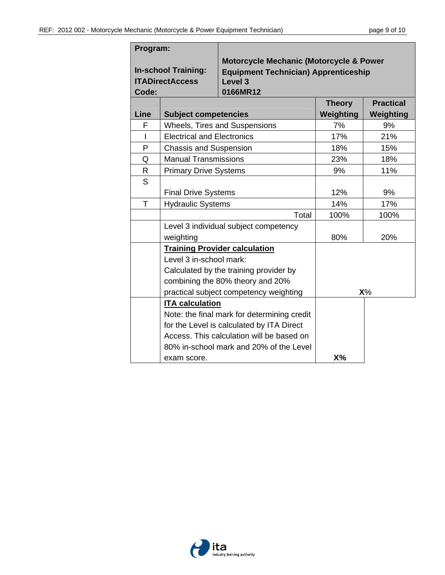| Program:                                                      |                                   |                                                                                                                                     |                            |                               |  |
|---------------------------------------------------------------|-----------------------------------|-------------------------------------------------------------------------------------------------------------------------------------|----------------------------|-------------------------------|--|
| <b>In-school Training:</b><br><b>ITADirectAccess</b><br>Code: |                                   | <b>Motorcycle Mechanic (Motorcycle &amp; Power</b><br><b>Equipment Technician) Apprenticeship</b><br>Level <sub>3</sub><br>0166MR12 |                            |                               |  |
| Line                                                          | <b>Subject competencies</b>       |                                                                                                                                     | <b>Theory</b><br>Weighting | <b>Practical</b><br>Weighting |  |
| F                                                             |                                   | <b>Wheels, Tires and Suspensions</b>                                                                                                | 7%                         | 9%                            |  |
| I                                                             | <b>Electrical and Electronics</b> |                                                                                                                                     | 17%                        | 21%                           |  |
| P                                                             | <b>Chassis and Suspension</b>     |                                                                                                                                     | 18%                        | 15%                           |  |
| Q                                                             | <b>Manual Transmissions</b>       |                                                                                                                                     | 23%                        | 18%                           |  |
| R                                                             | <b>Primary Drive Systems</b>      |                                                                                                                                     | 9%                         | 11%                           |  |
| S                                                             |                                   |                                                                                                                                     |                            |                               |  |
|                                                               | <b>Final Drive Systems</b>        |                                                                                                                                     | 12%                        | 9%                            |  |
| T                                                             | <b>Hydraulic Systems</b>          |                                                                                                                                     | 14%                        | 17%                           |  |
|                                                               |                                   | Total                                                                                                                               | 100%                       | 100%                          |  |
|                                                               |                                   | Level 3 individual subject competency                                                                                               |                            |                               |  |
|                                                               | weighting                         |                                                                                                                                     | 80%                        | 20%                           |  |
|                                                               |                                   | <b>Training Provider calculation</b>                                                                                                |                            |                               |  |
|                                                               | Level 3 in-school mark:           |                                                                                                                                     |                            |                               |  |
|                                                               |                                   | Calculated by the training provider by                                                                                              |                            |                               |  |
|                                                               |                                   | combining the 80% theory and 20%                                                                                                    |                            |                               |  |
|                                                               |                                   | practical subject competency weighting                                                                                              | $X\%$                      |                               |  |
|                                                               | <b>ITA calculation</b>            |                                                                                                                                     |                            |                               |  |
|                                                               |                                   | Note: the final mark for determining credit                                                                                         |                            |                               |  |
|                                                               |                                   | for the Level is calculated by ITA Direct                                                                                           |                            |                               |  |
|                                                               |                                   | Access. This calculation will be based on                                                                                           |                            |                               |  |
|                                                               |                                   | 80% in-school mark and 20% of the Level                                                                                             |                            |                               |  |
|                                                               | exam score.                       |                                                                                                                                     | X%                         |                               |  |